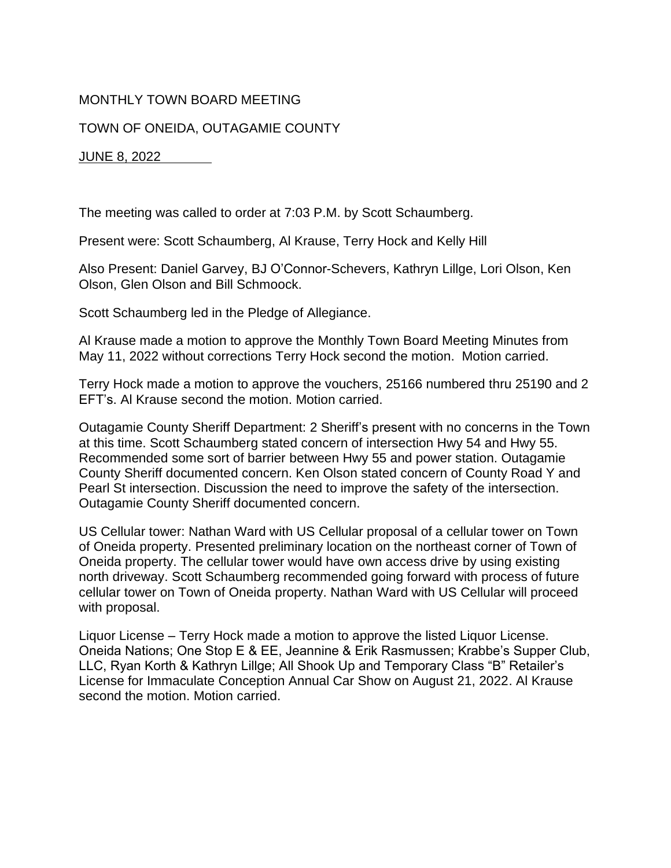## MONTHLY TOWN BOARD MEETING

## TOWN OF ONEIDA, OUTAGAMIE COUNTY

## JUNE 8, 2022

The meeting was called to order at 7:03 P.M. by Scott Schaumberg.

Present were: Scott Schaumberg, Al Krause, Terry Hock and Kelly Hill

Also Present: Daniel Garvey, BJ O'Connor-Schevers, Kathryn Lillge, Lori Olson, Ken Olson, Glen Olson and Bill Schmoock.

Scott Schaumberg led in the Pledge of Allegiance.

Al Krause made a motion to approve the Monthly Town Board Meeting Minutes from May 11, 2022 without corrections Terry Hock second the motion. Motion carried.

Terry Hock made a motion to approve the vouchers, 25166 numbered thru 25190 and 2 EFT's. Al Krause second the motion. Motion carried.

Outagamie County Sheriff Department: 2 Sheriff's present with no concerns in the Town at this time. Scott Schaumberg stated concern of intersection Hwy 54 and Hwy 55. Recommended some sort of barrier between Hwy 55 and power station. Outagamie County Sheriff documented concern. Ken Olson stated concern of County Road Y and Pearl St intersection. Discussion the need to improve the safety of the intersection. Outagamie County Sheriff documented concern.

US Cellular tower: Nathan Ward with US Cellular proposal of a cellular tower on Town of Oneida property. Presented preliminary location on the northeast corner of Town of Oneida property. The cellular tower would have own access drive by using existing north driveway. Scott Schaumberg recommended going forward with process of future cellular tower on Town of Oneida property. Nathan Ward with US Cellular will proceed with proposal.

Liquor License – Terry Hock made a motion to approve the listed Liquor License. Oneida Nations; One Stop E & EE, Jeannine & Erik Rasmussen; Krabbe's Supper Club, LLC, Ryan Korth & Kathryn Lillge; All Shook Up and Temporary Class "B" Retailer's License for Immaculate Conception Annual Car Show on August 21, 2022. Al Krause second the motion. Motion carried.